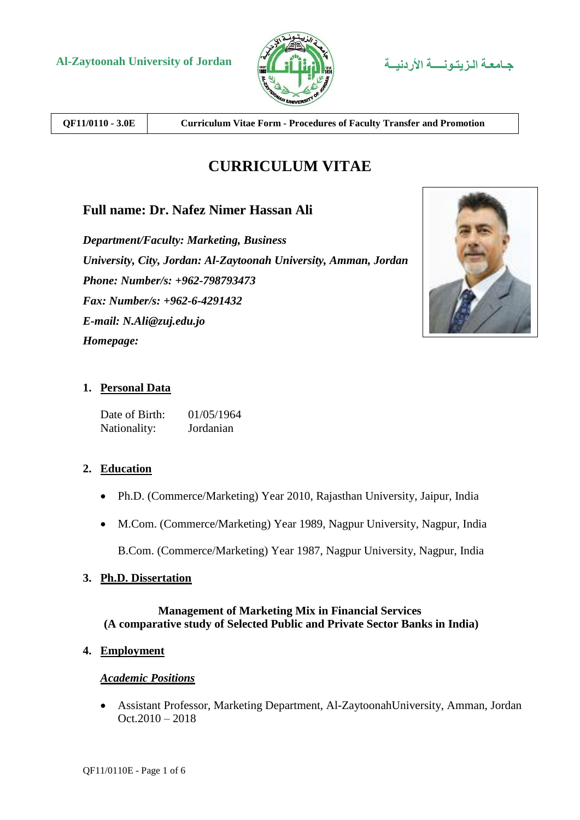

**QF11/0110 - 3.0E Curriculum Vitae Form - Procedures of Faculty Transfer and Promotion**

# **CURRICULUM VITAE**

# **Full name: Dr. Nafez Nimer Hassan Ali**

*Department/Faculty: Marketing, Business University, City, Jordan: Al-Zaytoonah University, Amman, Jordan Phone: Number/s: +962-798793473 Fax: Number/s: +962-6-4291432 E-mail: N.Ali@zuj.edu.jo Homepage:*



### **1. Personal Data**

Date of Birth: 01/05/1964 Nationality: Jordanian

#### **2. Education**

- Ph.D. (Commerce/Marketing) Year 2010, Rajasthan University, Jaipur, India
- M.Com. (Commerce/Marketing) Year 1989, Nagpur University, Nagpur, India

B.Com. (Commerce/Marketing) Year 1987, Nagpur University, Nagpur, India

#### **3. Ph.D. Dissertation**

#### **Management of Marketing Mix in Financial Services (A comparative study of Selected Public and Private Sector Banks in India)**

#### **4. Employment**

#### *Academic Positions*

 Assistant Professor, Marketing Department, Al-ZaytoonahUniversity, Amman, Jordan Oct.2010 – 2018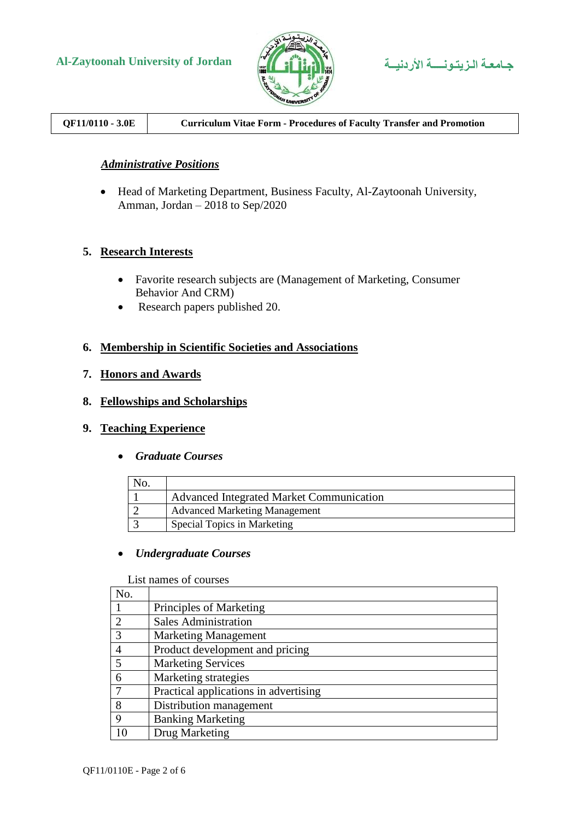



# **QF11/0110 - 3.0E Curriculum Vitae Form - Procedures of Faculty Transfer and Promotion**

#### *Administrative Positions*

 Head of Marketing Department, Business Faculty, Al-Zaytoonah University, Amman, Jordan – 2018 to Sep/2020

#### **5. Research Interests**

- Favorite research subjects are (Management of Marketing, Consumer Behavior And CRM)
- Research papers published 20.

#### **6. Membership in Scientific Societies and Associations**

#### **7. Honors and Awards**

#### **8. Fellowships and Scholarships**

#### **9. Teaching Experience**

*Graduate Courses*

| No. |                                          |
|-----|------------------------------------------|
|     | Advanced Integrated Market Communication |
|     | <b>Advanced Marketing Management</b>     |
|     | <b>Special Topics in Marketing</b>       |

#### *Undergraduate Courses*

List names of courses

| No.            |                                       |  |  |  |
|----------------|---------------------------------------|--|--|--|
|                | Principles of Marketing               |  |  |  |
| $\mathcal{D}$  | <b>Sales Administration</b>           |  |  |  |
| 3              | <b>Marketing Management</b>           |  |  |  |
| $\overline{4}$ | Product development and pricing       |  |  |  |
| 5              | <b>Marketing Services</b>             |  |  |  |
| 6              | Marketing strategies                  |  |  |  |
|                | Practical applications in advertising |  |  |  |
| 8              | Distribution management               |  |  |  |
| 9              | <b>Banking Marketing</b>              |  |  |  |
| 10             | Drug Marketing                        |  |  |  |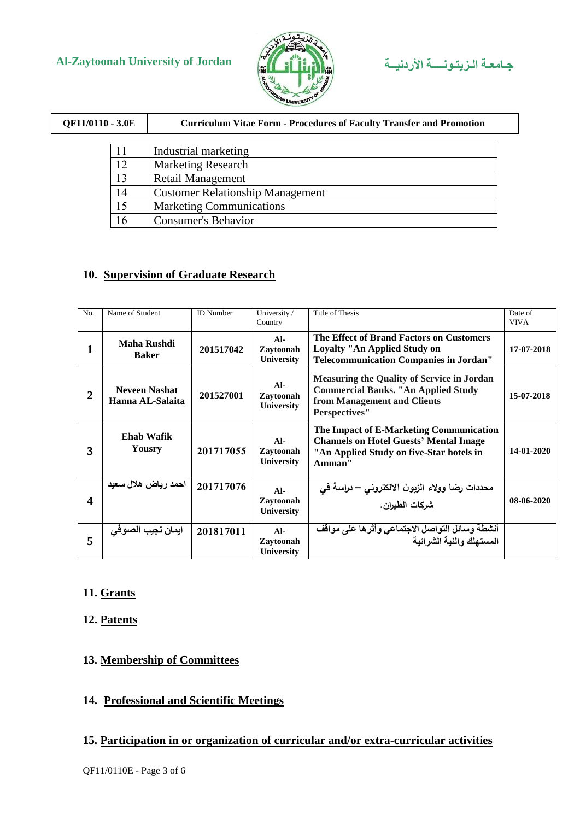



| QF11/0110 - 3.0E |    | <b>Curriculum Vitae Form - Procedures of Faculty Transfer and Promotion</b> |  |  |
|------------------|----|-----------------------------------------------------------------------------|--|--|
|                  |    |                                                                             |  |  |
|                  | 11 | Industrial marketing                                                        |  |  |
|                  | 12 | <b>Marketing Research</b>                                                   |  |  |
|                  | 13 | <b>Retail Management</b>                                                    |  |  |
|                  | 14 | <b>Customer Relationship Management</b>                                     |  |  |
|                  | 15 | <b>Marketing Communications</b>                                             |  |  |
|                  | 16 | <b>Consumer's Behavior</b>                                                  |  |  |

### **10. Supervision of Graduate Research**

| N <sub>0</sub> | Name of Student                          | <b>ID</b> Number | University /<br>Country                 | Title of Thesis                                                                                                                                        | Date of<br><b>VIVA</b> |
|----------------|------------------------------------------|------------------|-----------------------------------------|--------------------------------------------------------------------------------------------------------------------------------------------------------|------------------------|
|                | Maha Rushdi<br><b>Baker</b>              | 201517042        | $AI-$<br>Zavtoonah<br><b>University</b> | The Effect of Brand Factors on Customers<br>Loyalty "An Applied Study on<br><b>Telecommunication Companies in Jordan"</b>                              | 17-07-2018             |
| $\overline{2}$ | <b>Neveen Nashat</b><br>Hanna AL-Salaita | 201527001        | $AI-$<br>Zavtoonah<br><b>University</b> | <b>Measuring the Quality of Service in Jordan</b><br><b>Commercial Banks. "An Applied Study</b><br>from Management and Clients<br><b>Perspectives"</b> | 15-07-2018             |
| 3              | <b>Ehab Wafik</b><br>Yousry              | 201717055        | $AI-$<br>Zaytoonah<br><b>University</b> | The Impact of E-Marketing Communication<br><b>Channels on Hotel Guests' Mental Image</b><br>"An Applied Study on five-Star hotels in<br>Amman"         | 14-01-2020             |
| 4              | احمد رياض هلال سعيد                      | 201717076        | $AI-$<br>Zaytoonah<br><b>University</b> | محددات رضا وولاء الزبون الالكتروني – دراسة في<br>شركات الطيران.                                                                                        | 08-06-2020             |
| 5              | ايمان نجيب الصوهي                        | 201817011        | $AI-$<br>Zaytoonah<br>University        | أنشطة وسائل التواصل الاجتماعي وأثرها على موافف<br>المستهلك والنية الشرائية                                                                             |                        |

# **11. Grants**

## **12. Patents**

# **13. Membership of Committees**

# **14. Professional and Scientific Meetings**

## **15. Participation in or organization of curricular and/or extra-curricular activities**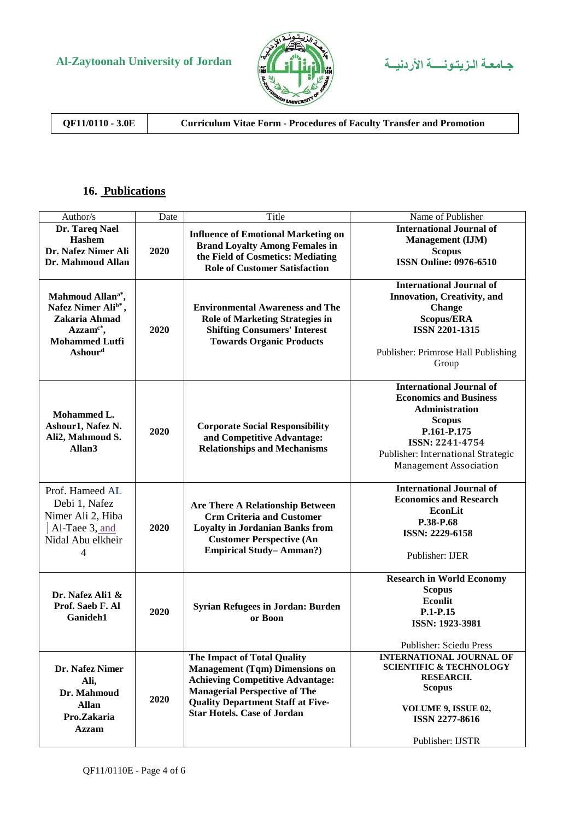



**QF11/0110 - 3.0E Curriculum Vitae Form - Procedures of Faculty Transfer and Promotion**

# **16. Publications**

|                                 | Date | Title                                      |                                                      |
|---------------------------------|------|--------------------------------------------|------------------------------------------------------|
| Author/s<br>Dr. Tareq Nael      |      | <b>Influence of Emotional Marketing on</b> | Name of Publisher<br><b>International Journal of</b> |
| Hashem                          |      |                                            | Management (IJM)                                     |
| Dr. Nafez Nimer Ali             | 2020 | <b>Brand Loyalty Among Females in</b>      | <b>Scopus</b>                                        |
| Dr. Mahmoud Allan               |      | the Field of Cosmetics: Mediating          | <b>ISSN Online: 0976-6510</b>                        |
|                                 |      | <b>Role of Customer Satisfaction</b>       |                                                      |
|                                 |      |                                            | <b>International Journal of</b>                      |
| Mahmoud Allan <sup>a*</sup> ,   |      |                                            | <b>Innovation, Creativity, and</b>                   |
| Nafez Nimer Ali <sup>b*</sup> , |      | <b>Environmental Awareness and The</b>     | <b>Change</b>                                        |
| Zakaria Ahmad                   |      | <b>Role of Marketing Strategies in</b>     | <b>Scopus/ERA</b>                                    |
| $Azzamc*,$                      | 2020 | <b>Shifting Consumers' Interest</b>        | <b>ISSN 2201-1315</b>                                |
| <b>Mohammed Lutfi</b>           |      | <b>Towards Organic Products</b>            |                                                      |
| <b>Ashourd</b>                  |      |                                            | Publisher: Primrose Hall Publishing                  |
|                                 |      |                                            | Group                                                |
|                                 |      |                                            |                                                      |
|                                 |      |                                            | <b>International Journal of</b>                      |
|                                 |      |                                            | <b>Economics and Business</b>                        |
|                                 |      |                                            | <b>Administration</b>                                |
| Mohammed L.                     |      |                                            | <b>Scopus</b>                                        |
| Ashour1, Nafez N.               | 2020 | <b>Corporate Social Responsibility</b>     | P.161-P.175                                          |
| Ali2, Mahmoud S.                |      | and Competitive Advantage:                 | ISSN: 2241-4754                                      |
| Allan <sub>3</sub>              |      | <b>Relationships and Mechanisms</b>        | Publisher: International Strategic                   |
|                                 |      |                                            | <b>Management Association</b>                        |
|                                 |      |                                            |                                                      |
| Prof. Hameed AL                 |      |                                            | <b>International Journal of</b>                      |
|                                 |      |                                            | <b>Economics and Research</b>                        |
| Debi 1, Nafez                   |      | <b>Are There A Relationship Between</b>    | <b>EconLit</b>                                       |
| Nimer Ali 2, Hiba               |      | <b>Crm Criteria and Customer</b>           | P.38-P.68                                            |
| Al-Taee 3, and                  | 2020 | <b>Loyalty in Jordanian Banks from</b>     | ISSN: 2229-6158                                      |
| Nidal Abu elkheir               |      | <b>Customer Perspective (An</b>            |                                                      |
| 4                               |      | <b>Empirical Study-Amman?)</b>             | Publisher: IJER                                      |
|                                 |      |                                            |                                                      |
|                                 |      |                                            | <b>Research in World Economy</b>                     |
| Dr. Nafez Ali1 &                |      |                                            | <b>Scopus</b>                                        |
| Prof. Saeb F. Al                |      | Syrian Refugees in Jordan: Burden          | <b>Econlit</b>                                       |
| Ganideh1                        | 2020 | or Boon                                    | P.1-P.15                                             |
|                                 |      |                                            | ISSN: 1923-3981                                      |
|                                 |      |                                            | Publisher: Sciedu Press                              |
|                                 |      | <b>The Impact of Total Quality</b>         | <b>INTERNATIONAL JOURNAL OF</b>                      |
| Dr. Nafez Nimer                 |      | <b>Management (Tqm) Dimensions on</b>      | <b>SCIENTIFIC &amp; TECHNOLOGY</b>                   |
| Ali,                            |      | <b>Achieving Competitive Advantage:</b>    | <b>RESEARCH.</b>                                     |
| Dr. Mahmoud                     |      | <b>Managerial Perspective of The</b>       | <b>Scopus</b>                                        |
|                                 | 2020 | <b>Quality Department Staff at Five-</b>   |                                                      |
| <b>Allan</b>                    |      | <b>Star Hotels. Case of Jordan</b>         | VOLUME 9, ISSUE 02,                                  |
| Pro.Zakaria                     |      |                                            | <b>ISSN 2277-8616</b>                                |
| <b>Azzam</b>                    |      |                                            |                                                      |
|                                 |      |                                            | Publisher: IJSTR                                     |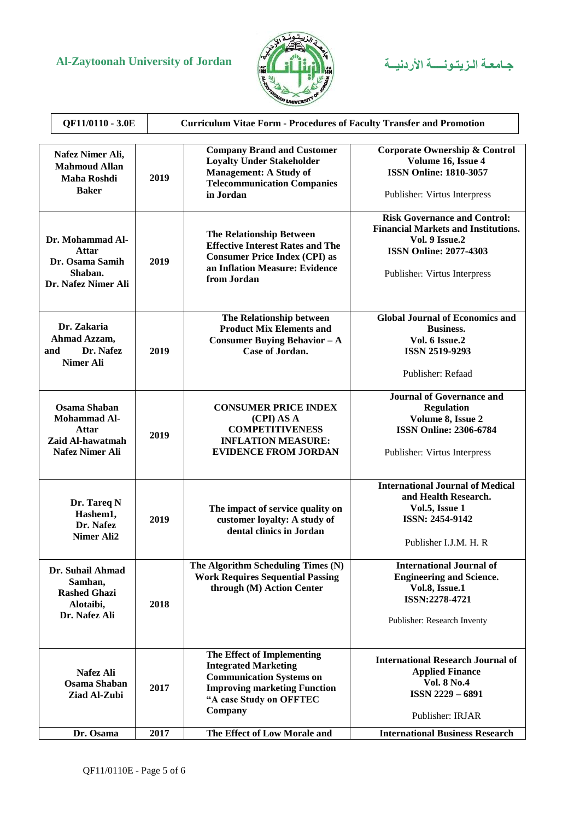



| QF11/0110 - 3.0E                                                        |                                                                                                   |      | <b>Curriculum Vitae Form - Procedures of Faculty Transfer and Promotion</b>                                                                                               |                                                                                                                                                                      |  |  |
|-------------------------------------------------------------------------|---------------------------------------------------------------------------------------------------|------|---------------------------------------------------------------------------------------------------------------------------------------------------------------------------|----------------------------------------------------------------------------------------------------------------------------------------------------------------------|--|--|
| Nafez Nimer Ali,<br><b>Mahmoud Allan</b><br>Maha Roshdi<br><b>Baker</b> |                                                                                                   | 2019 | <b>Company Brand and Customer</b><br><b>Loyalty Under Stakeholder</b><br><b>Management: A Study of</b><br><b>Telecommunication Companies</b><br>in Jordan                 | Corporate Ownership & Control<br>Volume 16, Issue 4<br><b>ISSN Online: 1810-3057</b><br>Publisher: Virtus Interpress                                                 |  |  |
|                                                                         | Dr. Mohammad Al-<br>Attar<br>Dr. Osama Samih<br>Shaban.<br>Dr. Nafez Nimer Ali                    | 2019 | <b>The Relationship Between</b><br><b>Effective Interest Rates and The</b><br><b>Consumer Price Index (CPI) as</b><br>an Inflation Measure: Evidence<br>from Jordan       | <b>Risk Governance and Control:</b><br><b>Financial Markets and Institutions.</b><br>Vol. 9 Issue.2<br><b>ISSN Online: 2077-4303</b><br>Publisher: Virtus Interpress |  |  |
|                                                                         | Dr. Zakaria<br>Ahmad Azzam,<br>Dr. Nafez<br>and<br><b>Nimer Ali</b>                               | 2019 | The Relationship between<br><b>Product Mix Elements and</b><br>Consumer Buying Behavior $-A$<br>Case of Jordan.                                                           | <b>Global Journal of Economics and</b><br><b>Business.</b><br>Vol. 6 Issue.2<br><b>ISSN 2519-9293</b><br>Publisher: Refaad                                           |  |  |
|                                                                         | <b>Osama Shaban</b><br><b>Mohammad Al-</b><br>Attar<br>Zaid Al-hawatmah<br><b>Nafez Nimer Ali</b> | 2019 | <b>CONSUMER PRICE INDEX</b><br>(CPI) AS A<br><b>COMPETITIVENESS</b><br><b>INFLATION MEASURE:</b><br><b>EVIDENCE FROM JORDAN</b>                                           | <b>Journal of Governance and</b><br><b>Regulation</b><br>Volume 8, Issue 2<br><b>ISSN Online: 2306-6784</b><br>Publisher: Virtus Interpress                          |  |  |
|                                                                         | Dr. Tareq N<br>Hashem1,<br>Dr. Nafez<br><b>Nimer Ali2</b>                                         | 2019 | The impact of service quality on<br>customer loyalty: A study of<br>dental clinics in Jordan                                                                              | <b>International Journal of Medical</b><br>and Health Research.<br>Vol.5, Issue 1<br>ISSN: 2454-9142<br>Publisher I.J.M. H. R.                                       |  |  |
|                                                                         | Dr. Suhail Ahmad<br>Samhan,<br><b>Rashed Ghazi</b><br>Alotaibi,<br>Dr. Nafez Ali                  | 2018 | The Algorithm Scheduling Times (N)<br><b>Work Requires Sequential Passing</b><br>through (M) Action Center                                                                | <b>International Journal of</b><br><b>Engineering and Science.</b><br>Vol.8, Issue.1<br>ISSN:2278-4721<br>Publisher: Research Inventy                                |  |  |
|                                                                         | Nafez Ali<br><b>Osama Shaban</b><br>Ziad Al-Zubi                                                  | 2017 | The Effect of Implementing<br><b>Integrated Marketing</b><br><b>Communication Systems on</b><br><b>Improving marketing Function</b><br>"A case Study on OFFTEC<br>Company | <b>International Research Journal of</b><br><b>Applied Finance</b><br><b>Vol. 8 No.4</b><br><b>ISSN 2229-6891</b><br>Publisher: IRJAR                                |  |  |
|                                                                         | Dr. Osama                                                                                         | 2017 | The Effect of Low Morale and                                                                                                                                              | <b>International Business Research</b>                                                                                                                               |  |  |